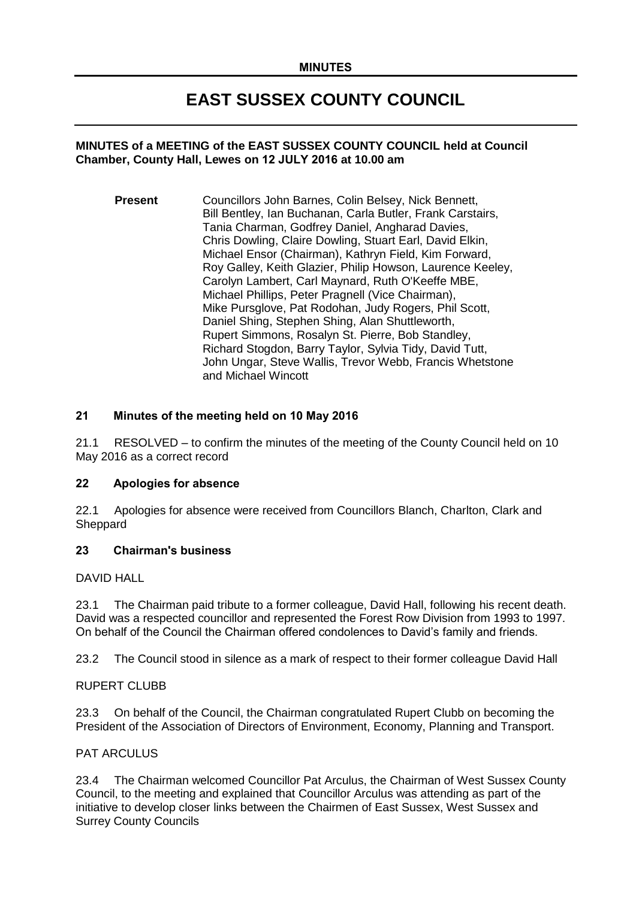# **EAST SUSSEX COUNTY COUNCIL**

## **MINUTES of a MEETING of the EAST SUSSEX COUNTY COUNCIL held at Council Chamber, County Hall, Lewes on 12 JULY 2016 at 10.00 am**

**Present** Councillors John Barnes, Colin Belsey, Nick Bennett, Bill Bentley, Ian Buchanan, Carla Butler, Frank Carstairs, Tania Charman, Godfrey Daniel, Angharad Davies, Chris Dowling, Claire Dowling, Stuart Earl, David Elkin, Michael Ensor (Chairman), Kathryn Field, Kim Forward, Roy Galley, Keith Glazier, Philip Howson, Laurence Keeley, Carolyn Lambert, Carl Maynard, Ruth O'Keeffe MBE, Michael Phillips, Peter Pragnell (Vice Chairman), Mike Pursglove, Pat Rodohan, Judy Rogers, Phil Scott, Daniel Shing, Stephen Shing, Alan Shuttleworth, Rupert Simmons, Rosalyn St. Pierre, Bob Standley, Richard Stogdon, Barry Taylor, Sylvia Tidy, David Tutt, John Ungar, Steve Wallis, Trevor Webb, Francis Whetstone and Michael Wincott

# **21 Minutes of the meeting held on 10 May 2016**

21.1 RESOLVED – to confirm the minutes of the meeting of the County Council held on 10 May 2016 as a correct record

#### **22 Apologies for absence**

22.1 Apologies for absence were received from Councillors Blanch, Charlton, Clark and Sheppard

# **23 Chairman's business**

DAVID HALL

23.1 The Chairman paid tribute to a former colleague, David Hall, following his recent death. David was a respected councillor and represented the Forest Row Division from 1993 to 1997. On behalf of the Council the Chairman offered condolences to David's family and friends.

23.2 The Council stood in silence as a mark of respect to their former colleague David Hall

#### RUPERT CLUBB

23.3 On behalf of the Council, the Chairman congratulated Rupert Clubb on becoming the President of the Association of Directors of Environment, Economy, Planning and Transport.

#### PAT ARCULUS

23.4 The Chairman welcomed Councillor Pat Arculus, the Chairman of West Sussex County Council, to the meeting and explained that Councillor Arculus was attending as part of the initiative to develop closer links between the Chairmen of East Sussex, West Sussex and Surrey County Councils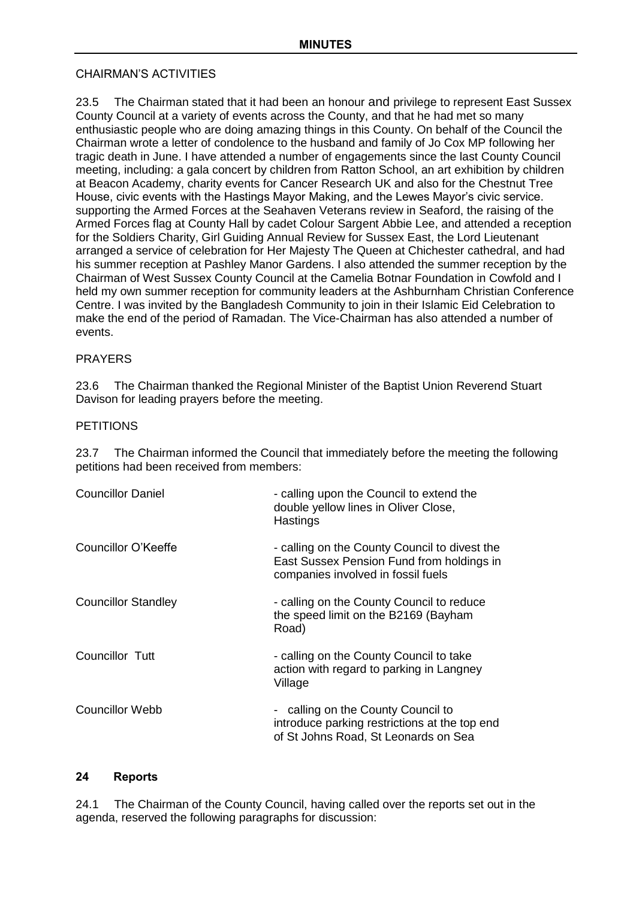# CHAIRMAN'S ACTIVITIES

23.5 The Chairman stated that it had been an honour and privilege to represent East Sussex County Council at a variety of events across the County, and that he had met so many enthusiastic people who are doing amazing things in this County. On behalf of the Council the Chairman wrote a letter of condolence to the husband and family of Jo Cox MP following her tragic death in June. I have attended a number of engagements since the last County Council meeting, including: a gala concert by children from Ratton School, an art exhibition by children at Beacon Academy, charity events for Cancer Research UK and also for the Chestnut Tree House, civic events with the Hastings Mayor Making, and the Lewes Mayor's civic service. supporting the Armed Forces at the Seahaven Veterans review in Seaford, the raising of the Armed Forces flag at County Hall by cadet Colour Sargent Abbie Lee, and attended a reception for the Soldiers Charity, Girl Guiding Annual Review for Sussex East, the Lord Lieutenant arranged a service of celebration for Her Majesty The Queen at Chichester cathedral, and had his summer reception at Pashley Manor Gardens. I also attended the summer reception by the Chairman of West Sussex County Council at the Camelia Botnar Foundation in Cowfold and I held my own summer reception for community leaders at the Ashburnham Christian Conference Centre. I was invited by the Bangladesh Community to join in their Islamic Eid Celebration to make the end of the period of Ramadan. The Vice-Chairman has also attended a number of events.

# PRAYERS

23.6 The Chairman thanked the Regional Minister of the Baptist Union Reverend Stuart Davison for leading prayers before the meeting.

## **PETITIONS**

23.7 The Chairman informed the Council that immediately before the meeting the following petitions had been received from members:

| - calling upon the Council to extend the<br>double yellow lines in Oliver Close,<br>Hastings                                     |
|----------------------------------------------------------------------------------------------------------------------------------|
| - calling on the County Council to divest the<br>East Sussex Pension Fund from holdings in<br>companies involved in fossil fuels |
| - calling on the County Council to reduce<br>the speed limit on the B2169 (Bayham<br>Road)                                       |
| - calling on the County Council to take<br>action with regard to parking in Langney<br>Village                                   |
| - calling on the County Council to<br>introduce parking restrictions at the top end<br>of St Johns Road, St Leonards on Sea      |
|                                                                                                                                  |

# **24 Reports**

24.1 The Chairman of the County Council, having called over the reports set out in the agenda, reserved the following paragraphs for discussion: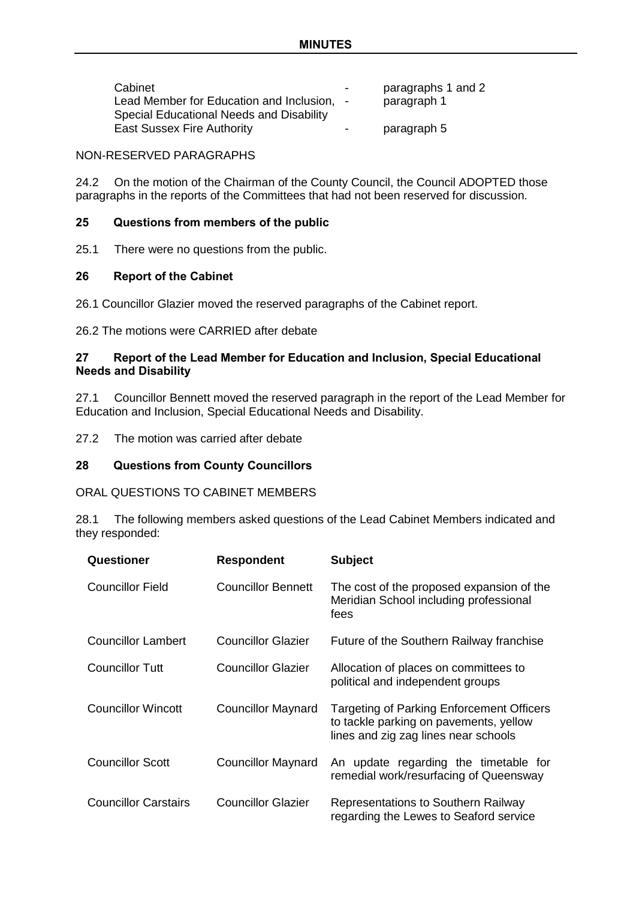| Cabinet<br>Lead Member for Education and Inclusion, -<br>Special Educational Needs and Disability | $\overline{\phantom{a}}$ | paragraphs 1 and 2<br>paragraph 1 |
|---------------------------------------------------------------------------------------------------|--------------------------|-----------------------------------|
| <b>East Sussex Fire Authority</b>                                                                 | $\sim$                   | paragraph 5                       |

#### NON-RESERVED PARAGRAPHS

24.2 On the motion of the Chairman of the County Council, the Council ADOPTED those paragraphs in the reports of the Committees that had not been reserved for discussion.

## **25 Questions from members of the public**

25.1 There were no questions from the public.

#### **26 Report of the Cabinet**

26.1 Councillor Glazier moved the reserved paragraphs of the Cabinet report.

26.2 The motions were CARRIED after debate

## **27 Report of the Lead Member for Education and Inclusion, Special Educational Needs and Disability**

27.1 Councillor Bennett moved the reserved paragraph in the report of the Lead Member for Education and Inclusion, Special Educational Needs and Disability.

27.2 The motion was carried after debate

## **28 Questions from County Councillors**

ORAL QUESTIONS TO CABINET MEMBERS

28.1 The following members asked questions of the Lead Cabinet Members indicated and they responded:

| Questioner                  | <b>Respondent</b>         | <b>Subject</b>                                                                                                                     |
|-----------------------------|---------------------------|------------------------------------------------------------------------------------------------------------------------------------|
| <b>Councillor Field</b>     | Councillor Bennett        | The cost of the proposed expansion of the<br>Meridian School including professional<br>fees                                        |
| <b>Councillor Lambert</b>   | <b>Councillor Glazier</b> | Future of the Southern Railway franchise                                                                                           |
| <b>Councillor Tutt</b>      | <b>Councillor Glazier</b> | Allocation of places on committees to<br>political and independent groups                                                          |
| <b>Councillor Wincott</b>   | <b>Councillor Maynard</b> | <b>Targeting of Parking Enforcement Officers</b><br>to tackle parking on pavements, yellow<br>lines and zig zag lines near schools |
| <b>Councillor Scott</b>     | <b>Councillor Maynard</b> | An update regarding the timetable for<br>remedial work/resurfacing of Queensway                                                    |
| <b>Councillor Carstairs</b> | <b>Councillor Glazier</b> | Representations to Southern Railway<br>regarding the Lewes to Seaford service                                                      |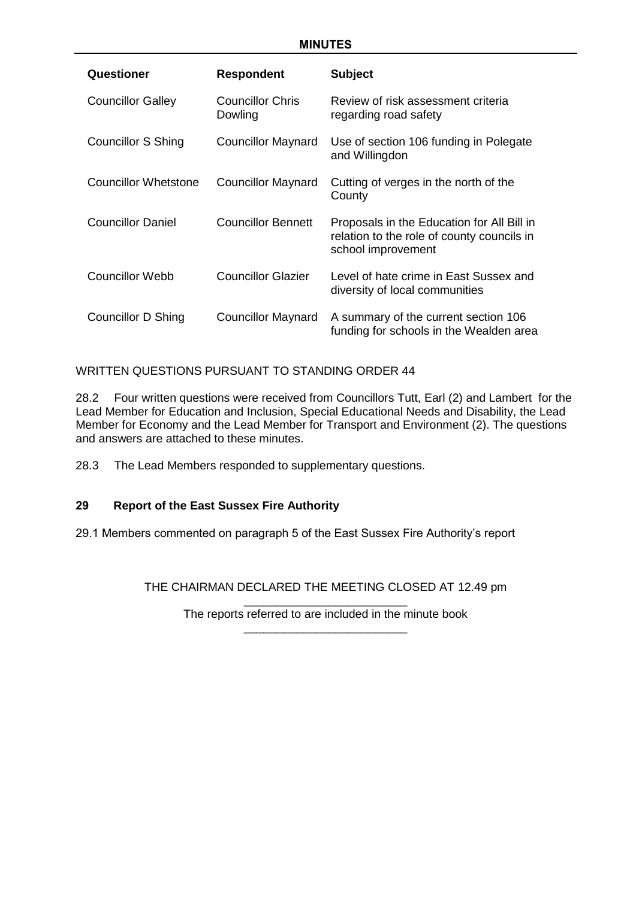| Questioner                  | <b>Respondent</b>           | <b>Subject</b>                                                                                                 |
|-----------------------------|-----------------------------|----------------------------------------------------------------------------------------------------------------|
| <b>Councillor Galley</b>    | Councillor Chris<br>Dowling | Review of risk assessment criteria<br>regarding road safety                                                    |
| Councillor S Shing          | <b>Councillor Maynard</b>   | Use of section 106 funding in Polegate<br>and Willingdon                                                       |
| <b>Councillor Whetstone</b> | <b>Councillor Maynard</b>   | Cutting of verges in the north of the<br>County                                                                |
| <b>Councillor Daniel</b>    | <b>Councillor Bennett</b>   | Proposals in the Education for All Bill in<br>relation to the role of county councils in<br>school improvement |
| Councillor Webb             | <b>Councillor Glazier</b>   | Level of hate crime in East Sussex and<br>diversity of local communities                                       |
| Councillor D Shing          | <b>Councillor Maynard</b>   | A summary of the current section 106<br>funding for schools in the Wealden area                                |

WRITTEN QUESTIONS PURSUANT TO STANDING ORDER 44

28.2 Four written questions were received from Councillors Tutt, Earl (2) and Lambert for the Lead Member for Education and Inclusion, Special Educational Needs and Disability, the Lead Member for Economy and the Lead Member for Transport and Environment (2). The questions and answers are attached to these minutes.

28.3 The Lead Members responded to supplementary questions.

# **29 Report of the East Sussex Fire Authority**

29.1 Members commented on paragraph 5 of the East Sussex Fire Authority's report

THE CHAIRMAN DECLARED THE MEETING CLOSED AT 12.49 pm

\_\_\_\_\_\_\_\_\_\_\_\_\_\_\_\_\_\_\_\_\_\_\_\_\_ The reports referred to are included in the minute book \_\_\_\_\_\_\_\_\_\_\_\_\_\_\_\_\_\_\_\_\_\_\_\_\_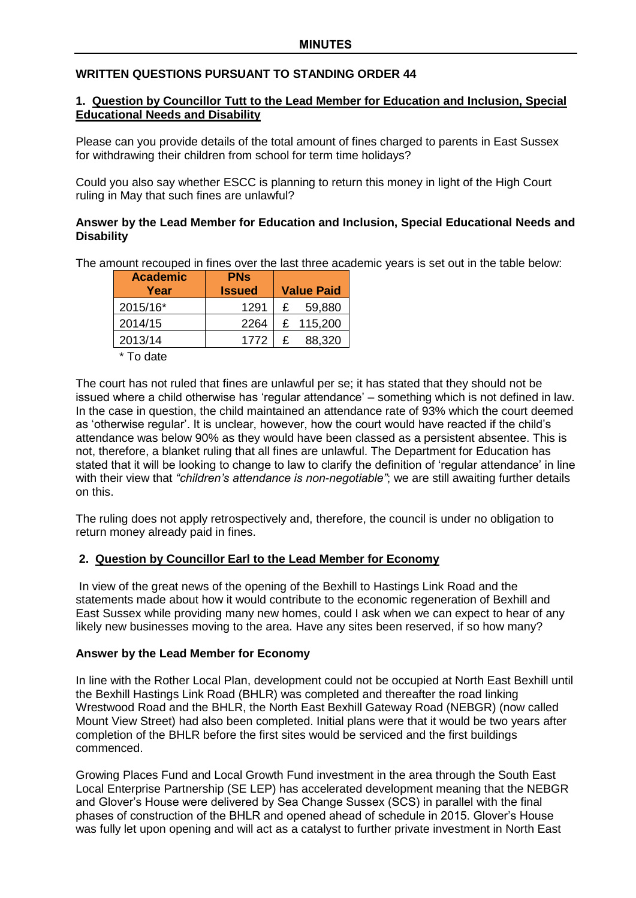# **WRITTEN QUESTIONS PURSUANT TO STANDING ORDER 44**

## **1. Question by Councillor Tutt to the Lead Member for Education and Inclusion, Special Educational Needs and Disability**

Please can you provide details of the total amount of fines charged to parents in East Sussex for withdrawing their children from school for term time holidays?

Could you also say whether ESCC is planning to return this money in light of the High Court ruling in May that such fines are unlawful?

# **Answer by the Lead Member for Education and Inclusion, Special Educational Needs and Disability**

The amount recouped in fines over the last three academic years is set out in the table below:

| <b>Academic</b><br>Year | <b>PN<sub>S</sub></b><br><b>Issued</b> |   | <b>Value Paid</b> |
|-------------------------|----------------------------------------|---|-------------------|
| 2015/16*                | 1291                                   | £ | 59,880            |
| 2014/15                 | 2264                                   |   | £ 115,200         |
| 2013/14                 | 1772                                   | £ | 88,320            |

\* To date

The court has not ruled that fines are unlawful per se; it has stated that they should not be issued where a child otherwise has 'regular attendance' – something which is not defined in law. In the case in question, the child maintained an attendance rate of 93% which the court deemed as 'otherwise regular'. It is unclear, however, how the court would have reacted if the child's attendance was below 90% as they would have been classed as a persistent absentee. This is not, therefore, a blanket ruling that all fines are unlawful. The Department for Education has stated that it will be looking to change to law to clarify the definition of 'regular attendance' in line with their view that *"children's attendance is non-negotiable"*; we are still awaiting further details on this.

The ruling does not apply retrospectively and, therefore, the council is under no obligation to return money already paid in fines.

# **2. Question by Councillor Earl to the Lead Member for Economy**

In view of the great news of the opening of the Bexhill to Hastings Link Road and the statements made about how it would contribute to the economic regeneration of Bexhill and East Sussex while providing many new homes, could I ask when we can expect to hear of any likely new businesses moving to the area. Have any sites been reserved, if so how many?

#### **Answer by the Lead Member for Economy**

In line with the Rother Local Plan, development could not be occupied at North East Bexhill until the Bexhill Hastings Link Road (BHLR) was completed and thereafter the road linking Wrestwood Road and the BHLR, the North East Bexhill Gateway Road (NEBGR) (now called Mount View Street) had also been completed. Initial plans were that it would be two years after completion of the BHLR before the first sites would be serviced and the first buildings commenced.

Growing Places Fund and Local Growth Fund investment in the area through the South East Local Enterprise Partnership (SE LEP) has accelerated development meaning that the NEBGR and Glover's House were delivered by Sea Change Sussex (SCS) in parallel with the final phases of construction of the BHLR and opened ahead of schedule in 2015. Glover's House was fully let upon opening and will act as a catalyst to further private investment in North East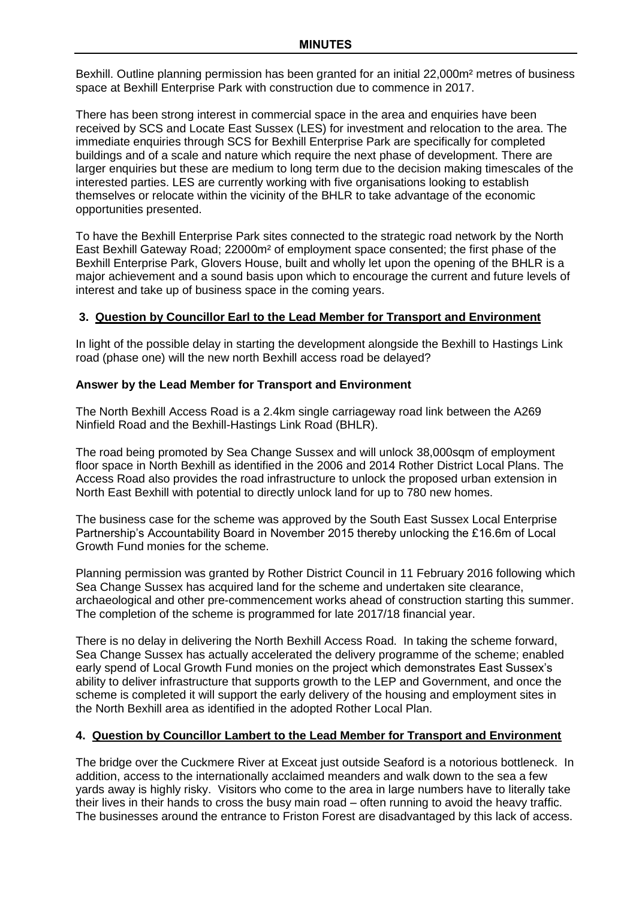Bexhill. Outline planning permission has been granted for an initial 22,000m² metres of business space at Bexhill Enterprise Park with construction due to commence in 2017.

There has been strong interest in commercial space in the area and enquiries have been received by SCS and Locate East Sussex (LES) for investment and relocation to the area. The immediate enquiries through SCS for Bexhill Enterprise Park are specifically for completed buildings and of a scale and nature which require the next phase of development. There are larger enquiries but these are medium to long term due to the decision making timescales of the interested parties. LES are currently working with five organisations looking to establish themselves or relocate within the vicinity of the BHLR to take advantage of the economic opportunities presented.

To have the Bexhill Enterprise Park sites connected to the strategic road network by the North East Bexhill Gateway Road; 22000m² of employment space consented; the first phase of the Bexhill Enterprise Park, Glovers House, built and wholly let upon the opening of the BHLR is a major achievement and a sound basis upon which to encourage the current and future levels of interest and take up of business space in the coming years.

# **3. Question by Councillor Earl to the Lead Member for Transport and Environment**

In light of the possible delay in starting the development alongside the Bexhill to Hastings Link road (phase one) will the new north Bexhill access road be delayed?

# **Answer by the Lead Member for Transport and Environment**

The North Bexhill Access Road is a 2.4km single carriageway road link between the A269 Ninfield Road and the Bexhill-Hastings Link Road (BHLR).

The road being promoted by Sea Change Sussex and will unlock 38,000sqm of employment floor space in North Bexhill as identified in the 2006 and 2014 Rother District Local Plans. The Access Road also provides the road infrastructure to unlock the proposed urban extension in North East Bexhill with potential to directly unlock land for up to 780 new homes.

The business case for the scheme was approved by the South East Sussex Local Enterprise Partnership's Accountability Board in November 2015 thereby unlocking the £16.6m of Local Growth Fund monies for the scheme.

Planning permission was granted by Rother District Council in 11 February 2016 following which Sea Change Sussex has acquired land for the scheme and undertaken site clearance, archaeological and other pre-commencement works ahead of construction starting this summer. The completion of the scheme is programmed for late 2017/18 financial year.

There is no delay in delivering the North Bexhill Access Road. In taking the scheme forward, Sea Change Sussex has actually accelerated the delivery programme of the scheme; enabled early spend of Local Growth Fund monies on the project which demonstrates East Sussex's ability to deliver infrastructure that supports growth to the LEP and Government, and once the scheme is completed it will support the early delivery of the housing and employment sites in the North Bexhill area as identified in the adopted Rother Local Plan.

# **4. Question by Councillor Lambert to the Lead Member for Transport and Environment**

The bridge over the Cuckmere River at Exceat just outside Seaford is a notorious bottleneck. In addition, access to the internationally acclaimed meanders and walk down to the sea a few yards away is highly risky. Visitors who come to the area in large numbers have to literally take their lives in their hands to cross the busy main road – often running to avoid the heavy traffic. The businesses around the entrance to Friston Forest are disadvantaged by this lack of access.